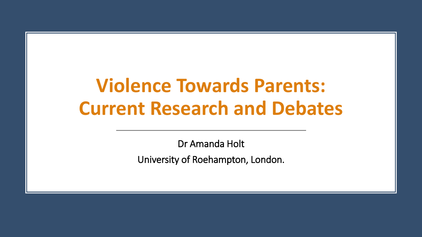# **Violence Towards Parents: Current Research and Debates**

Dr Amanda Holt University of Roehampton, London.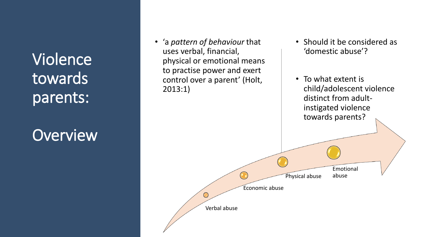## **Overview**

• 'a *pattern of behaviour* that uses verbal, financial, physical or emotional means to practise power and exert control over a parent' (Holt, 2013:1)

- Should it be considered as 'domestic abuse'?
- To what extent is child/adolescent violence distinct from adultinstigated violence towards parents? Emotional Physical abuse abuseEconomic abuse  $\bigodot$ Verbal abuse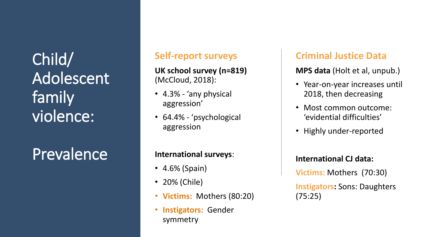Child/ Adolescent family violence:

Prevalence

### **Self -report surveys**

**UK school survey (n=819)**  (McCloud, 2018):

- 4.3% 'any physical aggression'
- 64.4% 'psychological aggression

#### **International surveys**:

- 4.6% (Spain)
- 20% (Chile)
- **Victims:** Mothers (80:20)
- **Instigators:** Gender symmetry

### **Criminal Justice Data**

**MPS data** (Holt et al, unpub.)

- Year-on-year increases until 2018, then decreasing
- Most common outcome: 'evidential difficulties'
- Highly under -reported

#### **International CJ data:**

**Victims:** Mothers (70:30)

**Instigators:** Sons: Daughters (75:25)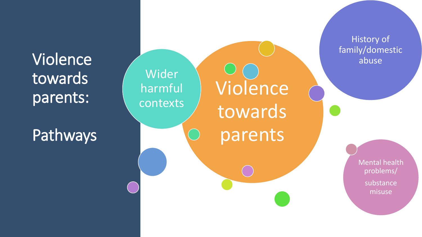

**Pathways** 



History of family/domestic abuse

> Mental health problems/ substance misuse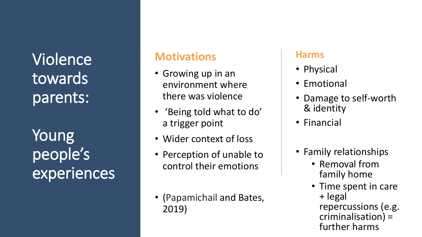Young people's experiences

## **Motivations**

- Growing up in an environment where there was violence
- 'Being told what to do' a trigger point
- Wider context of loss
- Perception of unable to control their emotions
- (Papamichail and Bates, 2019)

#### **Harms**

- Physical
- Emotional
- Damage to self-worth & identity
- Financial
- Family relationships
	- Removal from family home
	- Time spent in care + legal repercussions (e.g. criminalisation) = further harms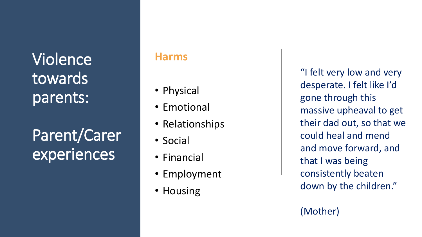# Parent/Carer experiences

### **Harms**

- Physical
- Emotional
- Relationships
- Social
- Financial
- Employment
- Housing

"I felt very low and very desperate. I felt like I'd gone through this massive upheaval to get their dad out, so that we could heal and mend and move forward, and that I was being consistently beaten down by the children."

(Mother)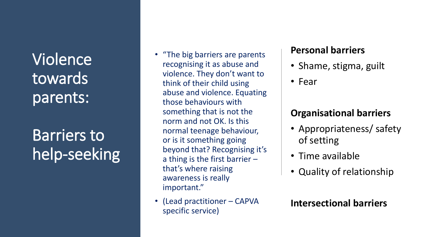# Barriers to help-seeking

- "The big barriers are parents recognising it as abuse and violence. They don't want to think of their child using abuse and violence. Equating those behaviours with something that is not the norm and not OK. Is this normal teenage behaviour, or is it something going beyond that? Recognising it's a thing is the first barrier – that's where raising awareness is really important."
- (Lead practitioner CAPVA specific service)

#### **Personal barriers**

- Shame, stigma, guilt
- Fear

## **Organisational barriers**

- Appropriateness/ safety of setting
- Time available
- Quality of relationship

**Intersectional barriers**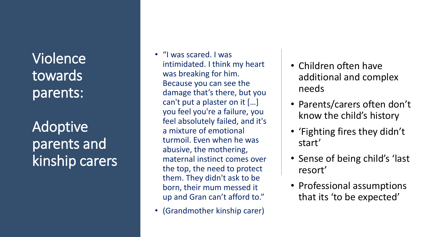## Adoptive parents and kinship carers

- "I was scared. I was intimidated. I think my heart was breaking for him. Because you can see the damage that's there, but you can't put a plaster on it […] you feel you're a failure, you feel absolutely failed, and it's a mixture of emotional turmoil. Even when he was abusive, the mothering, maternal instinct comes over the top, the need to protect them. They didn't ask to be born, their mum messed it up and Gran can't afford to."
- (Grandmother kinship carer)
- Children often have additional and complex needs
- Parents/carers often don't know the child's history
- 'Fighting fires they didn't start'
- Sense of being child's 'last resort'
- Professional assumptions that its 'to be expected'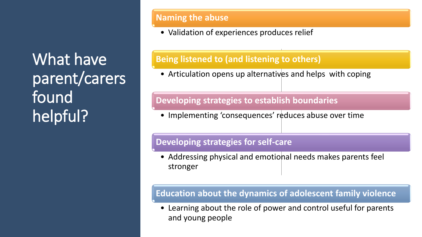What have parent/carers found helpful?

#### **Naming the abuse**

• Validation of experiences produces relief

#### **Being listened to (and listening to others)**

• Articulation opens up alternatives and helps with coping

#### **Developing strategies to establish boundaries**

• Implementing 'consequences' reduces abuse over time

#### **Developing strategies for self-care**

• Addressing physical and emotional needs makes parents feel stronger

#### **Education about the dynamics of adolescent family violence**

• Learning about the role of power and control useful for parents and young people